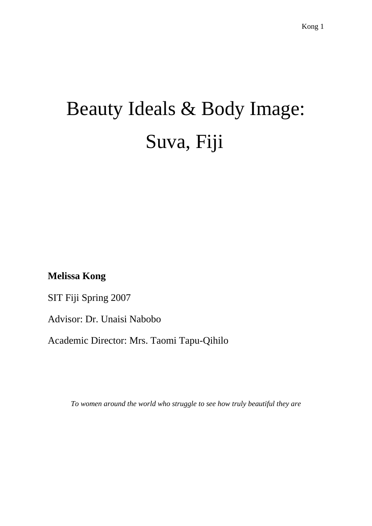# Beauty Ideals & Body Image: Suva, Fiji

**Melissa Kong**

SIT Fiji Spring 2007

Advisor: Dr. Unaisi Nabobo

Academic Director: Mrs. Taomi Tapu-Qihilo

*To women around the world who struggle to see how truly beautiful they are*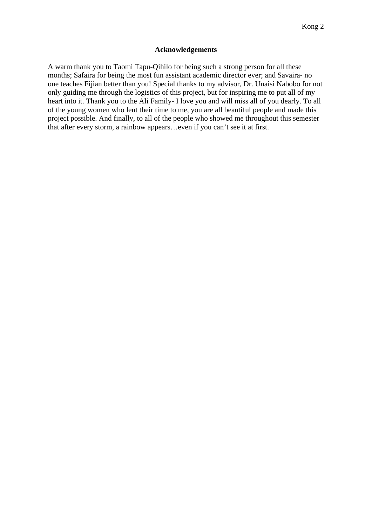# **Acknowledgements**

A warm thank you to Taomi Tapu-Qihilo for being such a strong person for all these months; Safaira for being the most fun assistant academic director ever; and Savaira- no one teaches Fijian better than you! Special thanks to my advisor, Dr. Unaisi Nabobo for not only guiding me through the logistics of this project, but for inspiring me to put all of my heart into it. Thank you to the Ali Family- I love you and will miss all of you dearly. To all of the young women who lent their time to me, you are all beautiful people and made this project possible. And finally, to all of the people who showed me throughout this semester that after every storm, a rainbow appears…even if you can't see it at first.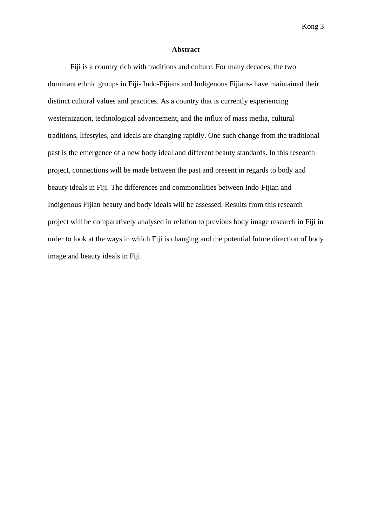#### **Abstract**

 Fiji is a country rich with traditions and culture. For many decades, the two dominant ethnic groups in Fiji- Indo-Fijians and Indigenous Fijians- have maintained their distinct cultural values and practices. As a country that is currently experiencing westernization, technological advancement, and the influx of mass media, cultural traditions, lifestyles, and ideals are changing rapidly. One such change from the traditional past is the emergence of a new body ideal and different beauty standards. In this research project, connections will be made between the past and present in regards to body and beauty ideals in Fiji. The differences and commonalities between Indo-Fijian and Indigenous Fijian beauty and body ideals will be assessed. Results from this research project will be comparatively analysed in relation to previous body image research in Fiji in order to look at the ways in which Fiji is changing and the potential future direction of body image and beauty ideals in Fiji.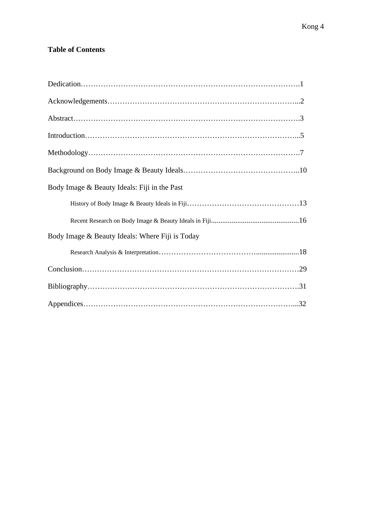# **Table of Contents**

| Body Image & Beauty Ideals: Fiji in the Past    |
|-------------------------------------------------|
|                                                 |
|                                                 |
| Body Image & Beauty Ideals: Where Fiji is Today |
|                                                 |
|                                                 |
|                                                 |
|                                                 |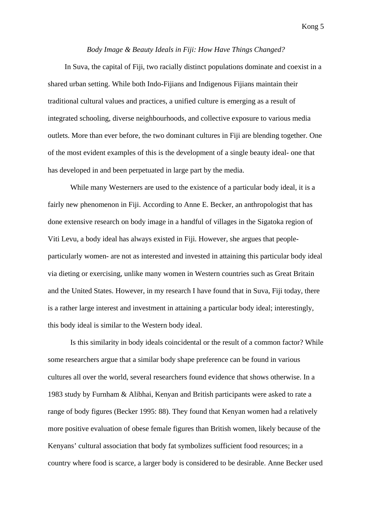# *Body Image & Beauty Ideals in Fiji: How Have Things Changed?*

In Suva, the capital of Fiji, two racially distinct populations dominate and coexist in a shared urban setting. While both Indo-Fijians and Indigenous Fijians maintain their traditional cultural values and practices, a unified culture is emerging as a result of integrated schooling, diverse neighbourhoods, and collective exposure to various media outlets. More than ever before, the two dominant cultures in Fiji are blending together. One of the most evident examples of this is the development of a single beauty ideal- one that has developed in and been perpetuated in large part by the media.

 While many Westerners are used to the existence of a particular body ideal, it is a fairly new phenomenon in Fiji. According to Anne E. Becker, an anthropologist that has done extensive research on body image in a handful of villages in the Sigatoka region of Viti Levu, a body ideal has always existed in Fiji. However, she argues that peopleparticularly women- are not as interested and invested in attaining this particular body ideal via dieting or exercising, unlike many women in Western countries such as Great Britain and the United States. However, in my research I have found that in Suva, Fiji today, there is a rather large interest and investment in attaining a particular body ideal; interestingly, this body ideal is similar to the Western body ideal.

 Is this similarity in body ideals coincidental or the result of a common factor? While some researchers argue that a similar body shape preference can be found in various cultures all over the world, several researchers found evidence that shows otherwise. In a 1983 study by Furnham & Alibhai, Kenyan and British participants were asked to rate a range of body figures (Becker 1995: 88). They found that Kenyan women had a relatively more positive evaluation of obese female figures than British women, likely because of the Kenyans' cultural association that body fat symbolizes sufficient food resources; in a country where food is scarce, a larger body is considered to be desirable. Anne Becker used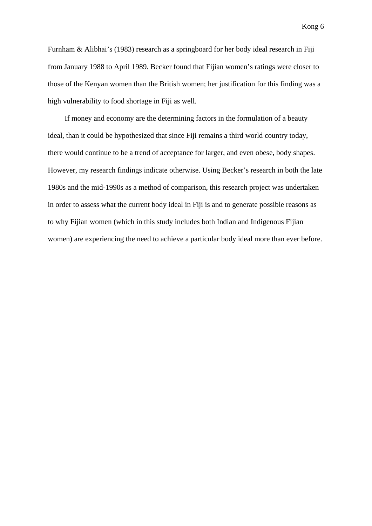Furnham & Alibhai's (1983) research as a springboard for her body ideal research in Fiji from January 1988 to April 1989. Becker found that Fijian women's ratings were closer to those of the Kenyan women than the British women; her justification for this finding was a high vulnerability to food shortage in Fiji as well.

If money and economy are the determining factors in the formulation of a beauty ideal, than it could be hypothesized that since Fiji remains a third world country today, there would continue to be a trend of acceptance for larger, and even obese, body shapes. However, my research findings indicate otherwise. Using Becker's research in both the late 1980s and the mid-1990s as a method of comparison, this research project was undertaken in order to assess what the current body ideal in Fiji is and to generate possible reasons as to why Fijian women (which in this study includes both Indian and Indigenous Fijian women) are experiencing the need to achieve a particular body ideal more than ever before.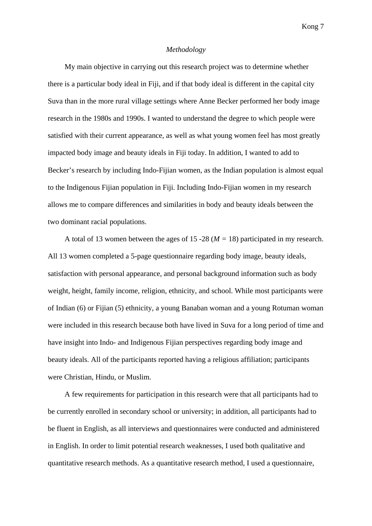# *Methodology*

My main objective in carrying out this research project was to determine whether there is a particular body ideal in Fiji, and if that body ideal is different in the capital city Suva than in the more rural village settings where Anne Becker performed her body image research in the 1980s and 1990s. I wanted to understand the degree to which people were satisfied with their current appearance, as well as what young women feel has most greatly impacted body image and beauty ideals in Fiji today. In addition, I wanted to add to Becker's research by including Indo-Fijian women, as the Indian population is almost equal to the Indigenous Fijian population in Fiji. Including Indo-Fijian women in my research allows me to compare differences and similarities in body and beauty ideals between the two dominant racial populations.

A total of 13 women between the ages of 15 -28 (*M =* 18) participated in my research. All 13 women completed a 5-page questionnaire regarding body image, beauty ideals, satisfaction with personal appearance, and personal background information such as body weight, height, family income, religion, ethnicity, and school. While most participants were of Indian (6) or Fijian (5) ethnicity, a young Banaban woman and a young Rotuman woman were included in this research because both have lived in Suva for a long period of time and have insight into Indo- and Indigenous Fijian perspectives regarding body image and beauty ideals. All of the participants reported having a religious affiliation; participants were Christian, Hindu, or Muslim.

A few requirements for participation in this research were that all participants had to be currently enrolled in secondary school or university; in addition, all participants had to be fluent in English, as all interviews and questionnaires were conducted and administered in English. In order to limit potential research weaknesses, I used both qualitative and quantitative research methods. As a quantitative research method, I used a questionnaire,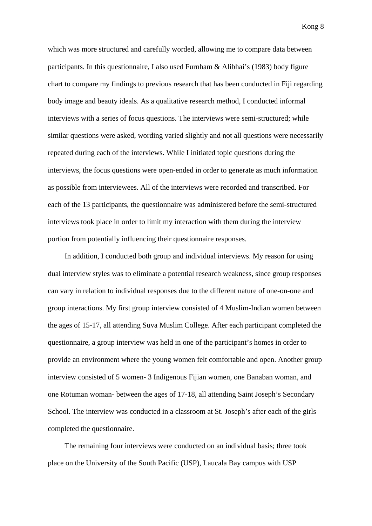which was more structured and carefully worded, allowing me to compare data between participants. In this questionnaire, I also used Furnham & Alibhai's (1983) body figure chart to compare my findings to previous research that has been conducted in Fiji regarding body image and beauty ideals. As a qualitative research method, I conducted informal interviews with a series of focus questions. The interviews were semi-structured; while similar questions were asked, wording varied slightly and not all questions were necessarily repeated during each of the interviews. While I initiated topic questions during the interviews, the focus questions were open-ended in order to generate as much information as possible from interviewees. All of the interviews were recorded and transcribed. For each of the 13 participants, the questionnaire was administered before the semi-structured interviews took place in order to limit my interaction with them during the interview portion from potentially influencing their questionnaire responses.

In addition, I conducted both group and individual interviews. My reason for using dual interview styles was to eliminate a potential research weakness, since group responses can vary in relation to individual responses due to the different nature of one-on-one and group interactions. My first group interview consisted of 4 Muslim-Indian women between the ages of 15-17, all attending Suva Muslim College. After each participant completed the questionnaire, a group interview was held in one of the participant's homes in order to provide an environment where the young women felt comfortable and open. Another group interview consisted of 5 women- 3 Indigenous Fijian women, one Banaban woman, and one Rotuman woman- between the ages of 17-18, all attending Saint Joseph's Secondary School. The interview was conducted in a classroom at St. Joseph's after each of the girls completed the questionnaire.

The remaining four interviews were conducted on an individual basis; three took place on the University of the South Pacific (USP), Laucala Bay campus with USP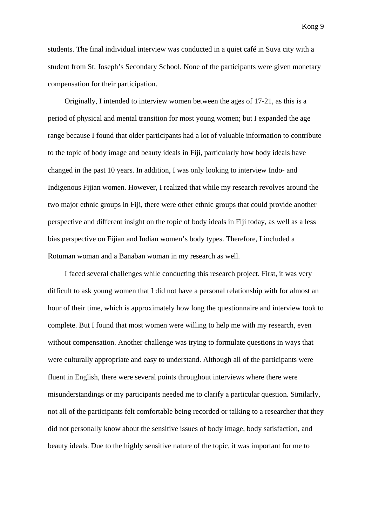students. The final individual interview was conducted in a quiet café in Suva city with a student from St. Joseph's Secondary School. None of the participants were given monetary compensation for their participation.

Originally, I intended to interview women between the ages of 17-21, as this is a period of physical and mental transition for most young women; but I expanded the age range because I found that older participants had a lot of valuable information to contribute to the topic of body image and beauty ideals in Fiji, particularly how body ideals have changed in the past 10 years. In addition, I was only looking to interview Indo- and Indigenous Fijian women. However, I realized that while my research revolves around the two major ethnic groups in Fiji, there were other ethnic groups that could provide another perspective and different insight on the topic of body ideals in Fiji today, as well as a less bias perspective on Fijian and Indian women's body types. Therefore, I included a Rotuman woman and a Banaban woman in my research as well.

I faced several challenges while conducting this research project. First, it was very difficult to ask young women that I did not have a personal relationship with for almost an hour of their time, which is approximately how long the questionnaire and interview took to complete. But I found that most women were willing to help me with my research, even without compensation. Another challenge was trying to formulate questions in ways that were culturally appropriate and easy to understand. Although all of the participants were fluent in English, there were several points throughout interviews where there were misunderstandings or my participants needed me to clarify a particular question. Similarly, not all of the participants felt comfortable being recorded or talking to a researcher that they did not personally know about the sensitive issues of body image, body satisfaction, and beauty ideals. Due to the highly sensitive nature of the topic, it was important for me to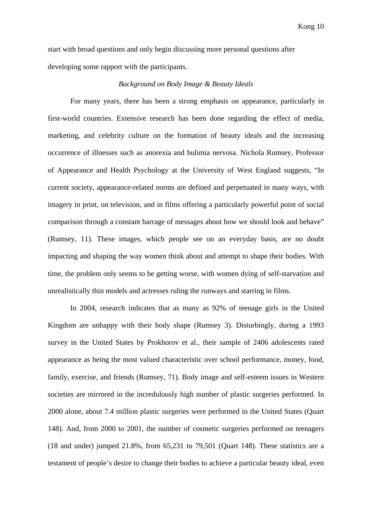start with broad questions and only begin discussing more personal questions after developing some rapport with the participants.

# *Background on Body Image & Beauty Ideals*

For many years, there has been a strong emphasis on appearance, particularly in first-world countries. Extensive research has been done regarding the effect of media, marketing, and celebrity culture on the formation of beauty ideals and the increasing occurrence of illnesses such as anorexia and bulimia nervosa. Nichola Rumsey, Professor of Appearance and Health Psychology at the University of West England suggests, "In current society, appearance-related norms are defined and perpetuated in many ways, with imagery in print, on television, and in films offering a particularly powerful point of social comparison through a constant barrage of messages about how we should look and behave" (Rumsey, 11). These images, which people see on an everyday basis, are no doubt impacting and shaping the way women think about and attempt to shape their bodies. With time, the problem only seems to be getting worse, with women dying of self-starvation and unrealistically thin models and actresses ruling the runways and starring in films.

In 2004, research indicates that as many as 92% of teenage girls in the United Kingdom are unhappy with their body shape (Rumsey 3). Disturbingly, during a 1993 survey in the United States by Prokhorov et al., their sample of 2406 adolescents rated appearance as being the most valued characteristic over school performance, money, food, family, exercise, and friends (Rumsey, 71). Body image and self-esteem issues in Western societies are mirrored in the incredulously high number of plastic surgeries performed. In 2000 alone, about 7.4 million plastic surgeries were performed in the United States (Quart 148). And, from 2000 to 2001, the number of cosmetic surgeries performed on teenagers (18 and under) jumped 21.8%, from 65,231 to 79,501 (Quart 148). These statistics are a testament of people's desire to change their bodies to achieve a particular beauty ideal, even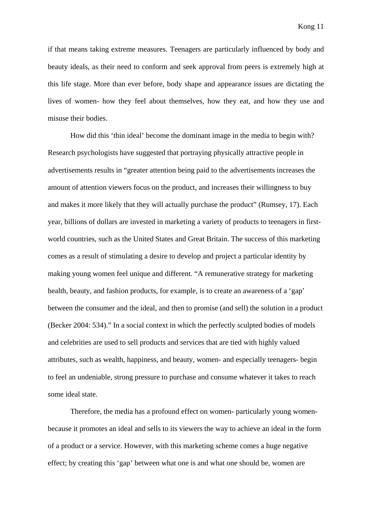if that means taking extreme measures. Teenagers are particularly influenced by body and beauty ideals, as their need to conform and seek approval from peers is extremely high at this life stage. More than ever before, body shape and appearance issues are dictating the lives of women- how they feel about themselves, how they eat, and how they use and misuse their bodies.

 How did this 'thin ideal' become the dominant image in the media to begin with? Research psychologists have suggested that portraying physically attractive people in advertisements results in "greater attention being paid to the advertisements increases the amount of attention viewers focus on the product, and increases their willingness to buy and makes it more likely that they will actually purchase the product" (Rumsey, 17). Each year, billions of dollars are invested in marketing a variety of products to teenagers in firstworld countries, such as the United States and Great Britain. The success of this marketing comes as a result of stimulating a desire to develop and project a particular identity by making young women feel unique and different. "A remunerative strategy for marketing health, beauty, and fashion products, for example, is to create an awareness of a 'gap' between the consumer and the ideal, and then to promise (and sell) the solution in a product (Becker 2004: 534)." In a social context in which the perfectly sculpted bodies of models and celebrities are used to sell products and services that are tied with highly valued attributes, such as wealth, happiness, and beauty, women- and especially teenagers- begin to feel an undeniable, strong pressure to purchase and consume whatever it takes to reach some ideal state.

 Therefore, the media has a profound effect on women- particularly young womenbecause it promotes an ideal and sells to its viewers the way to achieve an ideal in the form of a product or a service. However, with this marketing scheme comes a huge negative effect; by creating this 'gap' between what one is and what one should be, women are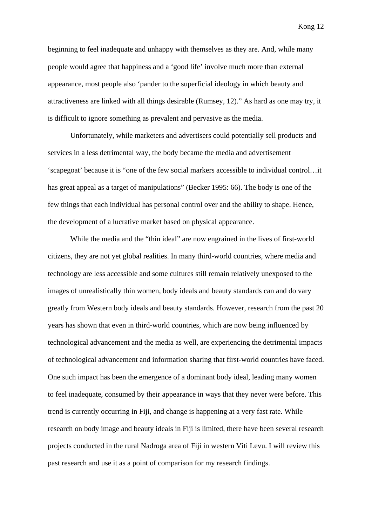beginning to feel inadequate and unhappy with themselves as they are. And, while many people would agree that happiness and a 'good life' involve much more than external appearance, most people also 'pander to the superficial ideology in which beauty and attractiveness are linked with all things desirable (Rumsey, 12)." As hard as one may try, it is difficult to ignore something as prevalent and pervasive as the media.

 Unfortunately, while marketers and advertisers could potentially sell products and services in a less detrimental way, the body became the media and advertisement 'scapegoat' because it is "one of the few social markers accessible to individual control…it has great appeal as a target of manipulations" (Becker 1995: 66). The body is one of the few things that each individual has personal control over and the ability to shape. Hence, the development of a lucrative market based on physical appearance.

 While the media and the "thin ideal" are now engrained in the lives of first-world citizens, they are not yet global realities. In many third-world countries, where media and technology are less accessible and some cultures still remain relatively unexposed to the images of unrealistically thin women, body ideals and beauty standards can and do vary greatly from Western body ideals and beauty standards. However, research from the past 20 years has shown that even in third-world countries, which are now being influenced by technological advancement and the media as well, are experiencing the detrimental impacts of technological advancement and information sharing that first-world countries have faced. One such impact has been the emergence of a dominant body ideal, leading many women to feel inadequate, consumed by their appearance in ways that they never were before. This trend is currently occurring in Fiji, and change is happening at a very fast rate. While research on body image and beauty ideals in Fiji is limited, there have been several research projects conducted in the rural Nadroga area of Fiji in western Viti Levu. I will review this past research and use it as a point of comparison for my research findings.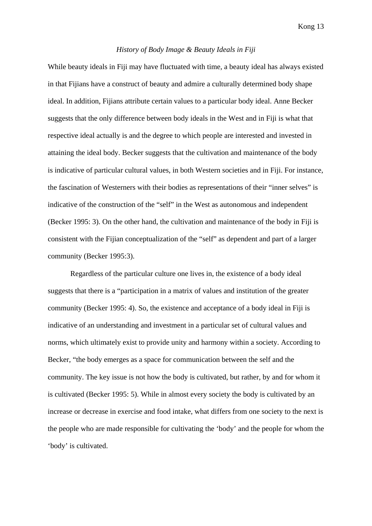#### *History of Body Image & Beauty Ideals in Fiji*

While beauty ideals in Fiji may have fluctuated with time, a beauty ideal has always existed in that Fijians have a construct of beauty and admire a culturally determined body shape ideal. In addition, Fijians attribute certain values to a particular body ideal. Anne Becker suggests that the only difference between body ideals in the West and in Fiji is what that respective ideal actually is and the degree to which people are interested and invested in attaining the ideal body. Becker suggests that the cultivation and maintenance of the body is indicative of particular cultural values, in both Western societies and in Fiji. For instance, the fascination of Westerners with their bodies as representations of their "inner selves" is indicative of the construction of the "self" in the West as autonomous and independent (Becker 1995: 3). On the other hand, the cultivation and maintenance of the body in Fiji is consistent with the Fijian conceptualization of the "self" as dependent and part of a larger community (Becker 1995:3).

 Regardless of the particular culture one lives in, the existence of a body ideal suggests that there is a "participation in a matrix of values and institution of the greater community (Becker 1995: 4). So, the existence and acceptance of a body ideal in Fiji is indicative of an understanding and investment in a particular set of cultural values and norms, which ultimately exist to provide unity and harmony within a society. According to Becker, "the body emerges as a space for communication between the self and the community. The key issue is not how the body is cultivated, but rather, by and for whom it is cultivated (Becker 1995: 5). While in almost every society the body is cultivated by an increase or decrease in exercise and food intake, what differs from one society to the next is the people who are made responsible for cultivating the 'body' and the people for whom the 'body' is cultivated.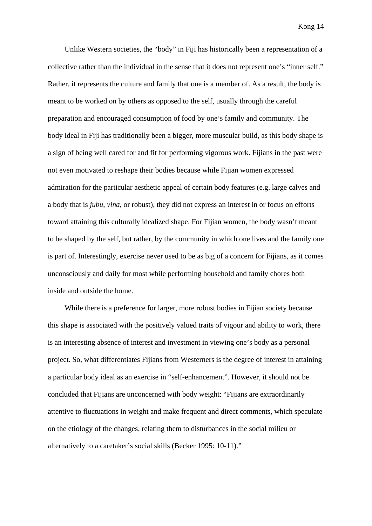Unlike Western societies, the "body" in Fiji has historically been a representation of a collective rather than the individual in the sense that it does not represent one's "inner self." Rather, it represents the culture and family that one is a member of. As a result, the body is meant to be worked on by others as opposed to the self, usually through the careful preparation and encouraged consumption of food by one's family and community. The body ideal in Fiji has traditionally been a bigger, more muscular build, as this body shape is a sign of being well cared for and fit for performing vigorous work. Fijians in the past were not even motivated to reshape their bodies because while Fijian women expressed admiration for the particular aesthetic appeal of certain body features (e.g. large calves and a body that is *jubu*, *vina*, or robust), they did not express an interest in or focus on efforts toward attaining this culturally idealized shape. For Fijian women, the body wasn't meant to be shaped by the self, but rather, by the community in which one lives and the family one is part of. Interestingly, exercise never used to be as big of a concern for Fijians, as it comes unconsciously and daily for most while performing household and family chores both inside and outside the home.

While there is a preference for larger, more robust bodies in Fijian society because this shape is associated with the positively valued traits of vigour and ability to work, there is an interesting absence of interest and investment in viewing one's body as a personal project. So, what differentiates Fijians from Westerners is the degree of interest in attaining a particular body ideal as an exercise in "self-enhancement". However, it should not be concluded that Fijians are unconcerned with body weight: "Fijians are extraordinarily attentive to fluctuations in weight and make frequent and direct comments, which speculate on the etiology of the changes, relating them to disturbances in the social milieu or alternatively to a caretaker's social skills (Becker 1995: 10-11)."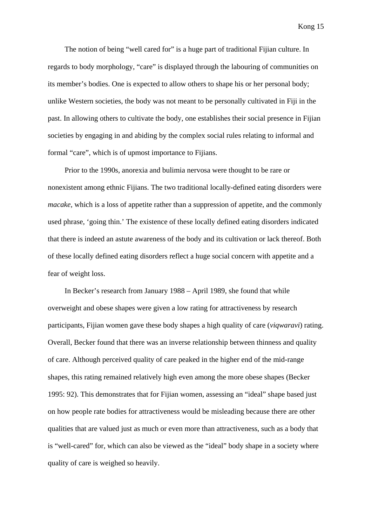The notion of being "well cared for" is a huge part of traditional Fijian culture. In regards to body morphology, "care" is displayed through the labouring of communities on its member's bodies. One is expected to allow others to shape his or her personal body; unlike Western societies, the body was not meant to be personally cultivated in Fiji in the past. In allowing others to cultivate the body, one establishes their social presence in Fijian societies by engaging in and abiding by the complex social rules relating to informal and formal "care", which is of upmost importance to Fijians.

Prior to the 1990s, anorexia and bulimia nervosa were thought to be rare or nonexistent among ethnic Fijians. The two traditional locally-defined eating disorders were *macake*, which is a loss of appetite rather than a suppression of appetite, and the commonly used phrase, 'going thin.' The existence of these locally defined eating disorders indicated that there is indeed an astute awareness of the body and its cultivation or lack thereof. Both of these locally defined eating disorders reflect a huge social concern with appetite and a fear of weight loss.

In Becker's research from January 1988 – April 1989, she found that while overweight and obese shapes were given a low rating for attractiveness by research participants, Fijian women gave these body shapes a high quality of care (*viqwaravi*) rating. Overall, Becker found that there was an inverse relationship between thinness and quality of care. Although perceived quality of care peaked in the higher end of the mid-range shapes, this rating remained relatively high even among the more obese shapes (Becker 1995: 92). This demonstrates that for Fijian women, assessing an "ideal" shape based just on how people rate bodies for attractiveness would be misleading because there are other qualities that are valued just as much or even more than attractiveness, such as a body that is "well-cared" for, which can also be viewed as the "ideal" body shape in a society where quality of care is weighed so heavily.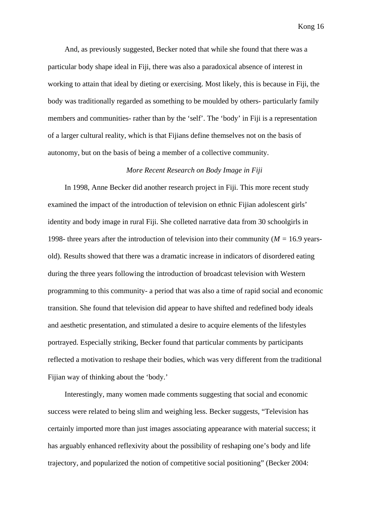And, as previously suggested, Becker noted that while she found that there was a particular body shape ideal in Fiji, there was also a paradoxical absence of interest in working to attain that ideal by dieting or exercising. Most likely, this is because in Fiji, the body was traditionally regarded as something to be moulded by others- particularly family members and communities- rather than by the 'self'. The 'body' in Fiji is a representation of a larger cultural reality, which is that Fijians define themselves not on the basis of autonomy, but on the basis of being a member of a collective community.

# *More Recent Research on Body Image in Fiji*

In 1998, Anne Becker did another research project in Fiji. This more recent study examined the impact of the introduction of television on ethnic Fijian adolescent girls' identity and body image in rural Fiji. She colleted narrative data from 30 schoolgirls in 1998- three years after the introduction of television into their community (*M =* 16.9 yearsold). Results showed that there was a dramatic increase in indicators of disordered eating during the three years following the introduction of broadcast television with Western programming to this community- a period that was also a time of rapid social and economic transition. She found that television did appear to have shifted and redefined body ideals and aesthetic presentation, and stimulated a desire to acquire elements of the lifestyles portrayed. Especially striking, Becker found that particular comments by participants reflected a motivation to reshape their bodies, which was very different from the traditional Fijian way of thinking about the 'body.'

Interestingly, many women made comments suggesting that social and economic success were related to being slim and weighing less. Becker suggests, "Television has certainly imported more than just images associating appearance with material success; it has arguably enhanced reflexivity about the possibility of reshaping one's body and life trajectory, and popularized the notion of competitive social positioning" (Becker 2004: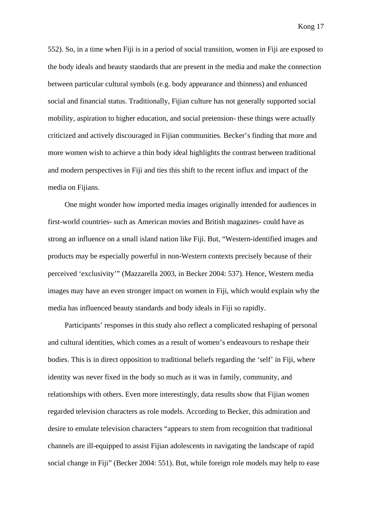552). So, in a time when Fiji is in a period of social transition, women in Fiji are exposed to the body ideals and beauty standards that are present in the media and make the connection between particular cultural symbols (e.g. body appearance and thinness) and enhanced social and financial status. Traditionally, Fijian culture has not generally supported social mobility, aspiration to higher education, and social pretension- these things were actually criticized and actively discouraged in Fijian communities. Becker's finding that more and more women wish to achieve a thin body ideal highlights the contrast between traditional and modern perspectives in Fiji and ties this shift to the recent influx and impact of the media on Fijians.

One might wonder how imported media images originally intended for audiences in first-world countries- such as American movies and British magazines- could have as strong an influence on a small island nation like Fiji. But, "Western-identified images and products may be especially powerful in non-Western contexts precisely because of their perceived 'exclusivity'" (Mazzarella 2003, in Becker 2004: 537). Hence, Western media images may have an even stronger impact on women in Fiji, which would explain why the media has influenced beauty standards and body ideals in Fiji so rapidly.

Participants' responses in this study also reflect a complicated reshaping of personal and cultural identities, which comes as a result of women's endeavours to reshape their bodies. This is in direct opposition to traditional beliefs regarding the 'self' in Fiji, where identity was never fixed in the body so much as it was in family, community, and relationships with others. Even more interestingly, data results show that Fijian women regarded television characters as role models. According to Becker, this admiration and desire to emulate television characters "appears to stem from recognition that traditional channels are ill-equipped to assist Fijian adolescents in navigating the landscape of rapid social change in Fiji" (Becker 2004: 551). But, while foreign role models may help to ease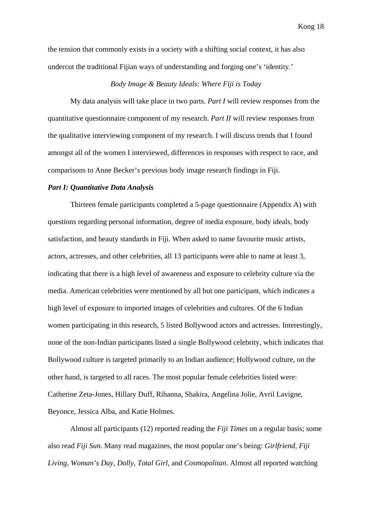the tension that commonly exists in a society with a shifting social context, it has also undercut the traditional Fijian ways of understanding and forging one's 'identity.'

# *Body Image & Beauty Ideals: Where Fiji is Today*

My data analysis will take place in two parts. *Part I* will review responses from the quantitative questionnaire component of my research. *Part II* will review responses from the qualitative interviewing component of my research. I will discuss trends that I found amongst all of the women I interviewed, differences in responses with respect to race, and comparisons to Anne Becker's previous body image research findings in Fiji.

#### *Part I: Quantitative Data Analysis*

 Thirteen female participants completed a 5-page questionnaire (Appendix A) with questions regarding personal information, degree of media exposure, body ideals, body satisfaction, and beauty standards in Fiji. When asked to name favourite music artists, actors, actresses, and other celebrities, all 13 participants were able to name at least 3, indicating that there is a high level of awareness and exposure to celebrity culture via the media. American celebrities were mentioned by all but one participant, which indicates a high level of exposure to imported images of celebrities and cultures. Of the 6 Indian women participating in this research, 5 listed Bollywood actors and actresses. Interestingly, none of the non-Indian participants listed a single Bollywood celebrity, which indicates that Bollywood culture is targeted primarily to an Indian audience; Hollywood culture, on the other hand, is targeted to all races. The most popular female celebrities listed were: Catherine Zeta-Jones, Hillary Duff, Rihanna, Shakira, Angelina Jolie, Avril Lavigne, Beyonce, Jessica Alba, and Katie Holmes.

 Almost all participants (12) reported reading the *Fiji Times* on a regular basis; some also read *Fiji Sun*. Many read magazines, the most popular one's being: *Girlfriend*, *Fiji Living*, *Woman's Day, Dolly, Total Girl,* and *Cosmopolitan*. Almost all reported watching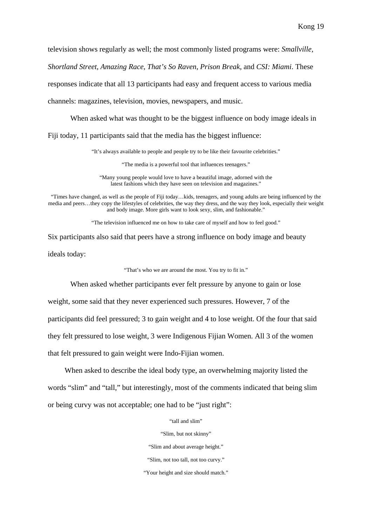television shows regularly as well; the most commonly listed programs were: *Smallville*,

*Shortland Street*, *Amazing Race*, *That's So Raven*, *Prison Break*, and *CSI: Miami*. These

responses indicate that all 13 participants had easy and frequent access to various media

channels: magazines, television, movies, newspapers, and music.

When asked what was thought to be the biggest influence on body image ideals in

Fiji today, 11 participants said that the media has the biggest influence:

"It's always available to people and people try to be like their favourite celebrities."

"The media is a powerful tool that influences teenagers."

"Many young people would love to have a beautiful image, adorned with the latest fashions which they have seen on television and magazines."

"Times have changed, as well as the people of Fiji today…kids, teenagers, and young adults are being influenced by the media and peers…they copy the lifestyles of celebrities, the way they dress, and the way they look, especially their weight and body image. More girls want to look sexy, slim, and fashionable."

"The television influenced me on how to take care of myself and how to feel good."

Six participants also said that peers have a strong influence on body image and beauty ideals today:

"That's who we are around the most. You try to fit in."

When asked whether participants ever felt pressure by anyone to gain or lose

weight, some said that they never experienced such pressures. However, 7 of the participants did feel pressured; 3 to gain weight and 4 to lose weight. Of the four that said they felt pressured to lose weight, 3 were Indigenous Fijian Women. All 3 of the women that felt pressured to gain weight were Indo-Fijian women.

When asked to describe the ideal body type, an overwhelming majority listed the words "slim" and "tall," but interestingly, most of the comments indicated that being slim or being curvy was not acceptable; one had to be "just right":

"tall and slim"

"Slim, but not skinny"

"Slim and about average height."

"Slim, not too tall, not too curvy."

"Your height and size should match."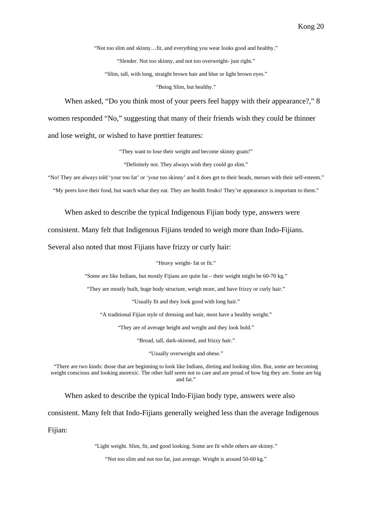"Not too slim and skinny…fit, and everything you wear looks good and healthy."

"Slender. Not too skinny, and not too overweight- just right."

"Slim, tall, with long, straight brown hair and blue or light brown eyes."

"Being Slim, but healthy."

When asked, "Do you think most of your peers feel happy with their appearance?," 8

women responded "No," suggesting that many of their friends wish they could be thinner

and lose weight, or wished to have prettier features:

"They want to lose their weight and become skinny goats!"

"Definitely not. They always wish they could go slim."

"No! They are always told 'your too fat' or 'your too skinny' and it does get to their heads, messes with their self-esteem."

"My peers love their food, but watch what they eat. They are health freaks! They're appearance is important to them."

When asked to describe the typical Indigenous Fijian body type, answers were

consistent. Many felt that Indigenous Fijians tended to weigh more than Indo-Fijians.

Several also noted that most Fijians have frizzy or curly hair:

"Heavy weight- fat or fit."

"Some are like Indians, but mostly Fijians are quite fat – their weight might be 60-70 kg."

"They are mostly built, huge body structure, weigh more, and have frizzy or curly hair."

"Usually fit and they look good with long hair."

"A traditional Fijian style of dressing and hair, most have a healthy weight."

"They are of average height and weight and they look bold."

"Broad, tall, dark-skinned, and frizzy hair."

"Usually overweight and obese."

"There are two kinds: those that are beginning to look like Indians, dieting and looking slim. But, some are becoming weight conscious and looking anorexic. The other half seem not to care and are proud of how big they are. Some are big and fat."

When asked to describe the typical Indo-Fijian body type, answers were also

consistent. Many felt that Indo-Fijians generally weighed less than the average Indigenous

Fijian:

"Light weight. Slim, fit, and good looking. Some are fit while others are skinny."

"Not too slim and not too fat, just average. Weight is around 50-60 kg."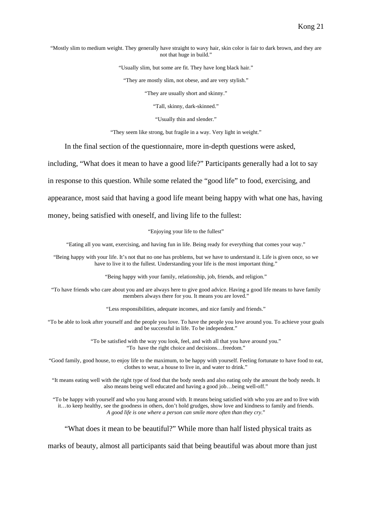"Mostly slim to medium weight. They generally have straight to wavy hair, skin color is fair to dark brown, and they are not that huge in build."

"Usually slim, but some are fit. They have long black hair."

"They are mostly slim, not obese, and are very stylish."

"They are usually short and skinny."

"Tall, skinny, dark-skinned."

"Usually thin and slender."

"They seem like strong, but fragile in a way. Very light in weight."

In the final section of the questionnaire, more in-depth questions were asked,

including, "What does it mean to have a good life?" Participants generally had a lot to say

in response to this question. While some related the "good life" to food, exercising, and

appearance, most said that having a good life meant being happy with what one has, having

money, being satisfied with oneself, and living life to the fullest:

"Enjoying your life to the fullest"

"Eating all you want, exercising, and having fun in life. Being ready for everything that comes your way."

"Being happy with your life. It's not that no one has problems, but we have to understand it. Life is given once, so we have to live it to the fullest. Understanding your life is the most important thing."

"Being happy with your family, relationship, job, friends, and religion."

"To have friends who care about you and are always here to give good advice. Having a good life means to have family members always there for you. It means you are loved."

"Less responsibilities, adequate incomes, and nice family and friends."

"To be able to look after yourself and the people you love. To have the people you love around you. To achieve your goals and be successful in life. To be independent."

> "To be satisfied with the way you look, feel, and with all that you have around you." "To have the right choice and decisions…freedom."

"Good family, good house, to enjoy life to the maximum, to be happy with yourself. Feeling fortunate to have food to eat, clothes to wear, a house to live in, and water to drink."

"It means eating well with the right type of food that the body needs and also eating only the amount the body needs. It also means being well educated and having a good job…being well-off."

"To be happy with yourself and who you hang around with. It means being satisfied with who you are and to live with it…to keep healthy, see the goodness in others, don't hold grudges, show love and kindness to family and friends. *A good life is one where a person can smile more often than they cry*."

"What does it mean to be beautiful?" While more than half listed physical traits as

marks of beauty, almost all participants said that being beautiful was about more than just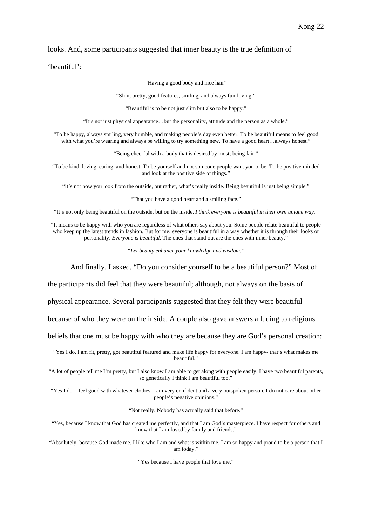#### looks. And, some participants suggested that inner beauty is the true definition of

'beautiful':

"Having a good body and nice hair"

"Slim, pretty, good features, smiling, and always fun-loving."

"Beautiful is to be not just slim but also to be happy."

"It's not just physical appearance…but the personality, attitude and the person as a whole."

"To be happy, always smiling, very humble, and making people's day even better. To be beautiful means to feel good with what you're wearing and always be willing to try something new. To have a good heart…always honest."

"Being cheerful with a body that is desired by most; being fair."

"To be kind, loving, caring, and honest. To be yourself and not someone people want you to be. To be positive minded and look at the positive side of things."

"It's not how you look from the outside, but rather, what's really inside. Being beautiful is just being simple."

"That you have a good heart and a smiling face."

"It's not only being beautiful on the outside, but on the inside. *I think everyone is beautiful in their own unique way*."

"It means to be happy with who you are regardless of what others say about you. Some people relate beautiful to people who keep up the latest trends in fashion. But for me, everyone is beautiful in a way whether it is through their looks or personality. *Everyone is beautiful*. The ones that stand out are the ones with inner beauty."

*"Let beauty enhance your knowledge and wisdom."* 

And finally, I asked, "Do you consider yourself to be a beautiful person?" Most of

the participants did feel that they were beautiful; although, not always on the basis of

physical appearance. Several participants suggested that they felt they were beautiful

because of who they were on the inside. A couple also gave answers alluding to religious

beliefs that one must be happy with who they are because they are God's personal creation:

"Yes I do. I am fit, pretty, got beautiful featured and make life happy for everyone. I am happy- that's what makes me beautiful."

"A lot of people tell me I'm pretty, but I also know I am able to get along with people easily. I have two beautiful parents, so genetically I think I am beautiful too."

"Yes I do. I feel good with whatever clothes. I am very confident and a very outspoken person. I do not care about other people's negative opinions."

"Not really. Nobody has actually said that before."

"Yes, because I know that God has created me perfectly, and that I am God's masterpiece. I have respect for others and know that I am loved by family and friends."

"Absolutely, because God made me. I like who I am and what is within me. I am so happy and proud to be a person that I am today."

"Yes because I have people that love me."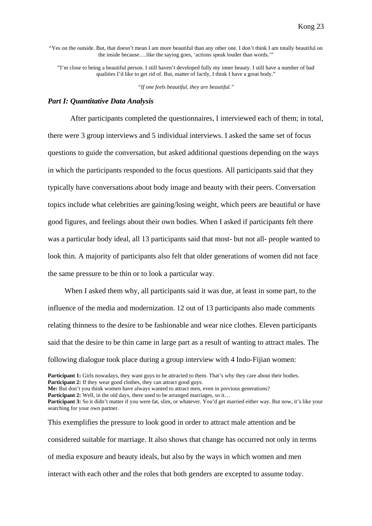"Yes on the outside. But, that doesn't mean I am more beautiful than any other one. I don't think I am totally beautiful on the inside because….like the saying goes, 'actions speak louder than words.'"

"I'm close to being a beautiful person. I still haven't developed fully my inner beauty. I still have a number of bad qualities I'd like to get rid of. But, matter of factly, I think I have a great body."

*"If one feels beautiful, they are beautiful."* 

#### *Part I: Quantitative Data Analysis*

 After participants completed the questionnaires, I interviewed each of them; in total, there were 3 group interviews and 5 individual interviews. I asked the same set of focus questions to guide the conversation, but asked additional questions depending on the ways in which the participants responded to the focus questions. All participants said that they typically have conversations about body image and beauty with their peers. Conversation topics include what celebrities are gaining/losing weight, which peers are beautiful or have good figures, and feelings about their own bodies. When I asked if participants felt there was a particular body ideal, all 13 participants said that most- but not all- people wanted to look thin. A majority of participants also felt that older generations of women did not face the same pressure to be thin or to look a particular way.

When I asked them why, all participants said it was due, at least in some part, to the influence of the media and modernization. 12 out of 13 participants also made comments relating thinness to the desire to be fashionable and wear nice clothes. Eleven participants said that the desire to be thin came in large part as a result of wanting to attract males. The following dialogue took place during a group interview with 4 Indo-Fijian women:

**Participant 1:** Girls nowadays, they want guys to be attracted to them. That's why they care about their bodies. **Participant 2:** If they wear good clothes, they can attract good guys.

**Me:** But don't you think women have always wanted to attract men, even in previous generations?

Participant 2: Well, in the old days, there used to be arranged marriages, so it...

This exemplifies the pressure to look good in order to attract male attention and be considered suitable for marriage. It also shows that change has occurred not only in terms of media exposure and beauty ideals, but also by the ways in which women and men interact with each other and the roles that both genders are excepted to assume today.

**Participant 3:** So it didn't matter if you were fat, slim, or whatever. You'd get married either way. But now, it's like your searching for your own partner.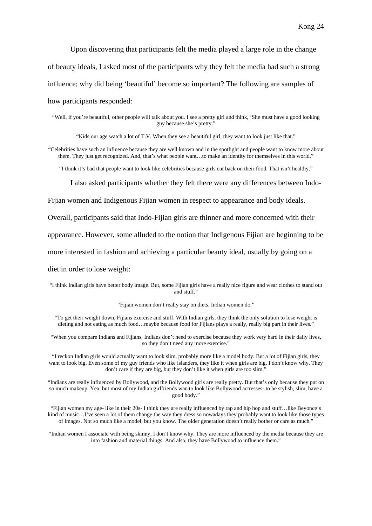Upon discovering that participants felt the media played a large role in the change of beauty ideals, I asked most of the participants why they felt the media had such a strong influence; why did being 'beautiful' become so important? The following are samples of

how participants responded:

"Well, if you're beautiful, other people will talk about you. I see a pretty girl and think, 'She must have a good looking guy because she's pretty."

"Kids our age watch a lot of T.V. When they see a beautiful girl, they want to look just like that."

"Celebrities have such an influence because they are well known and in the spotlight and people want to know more about them. They just get recognized. And, that's what people want…to make an identity for themselves in this world."

"I think it's bad that people want to look like celebrities because girls cut back on their food. That isn't healthy."

I also asked participants whether they felt there were any differences between Indo-

Fijian women and Indigenous Fijian women in respect to appearance and body ideals.

Overall, participants said that Indo-Fijian girls are thinner and more concerned with their

appearance. However, some alluded to the notion that Indigenous Fijian are beginning to be

more interested in fashion and achieving a particular beauty ideal, usually by going on a

diet in order to lose weight:

"I think Indian girls have better body image. But, some Fijian girls have a really nice figure and wear clothes to stand out and stuff."

"Fijian women don't really stay on diets. Indian women do."

"To get their weight down, Fijians exercise and stuff. With Indian girls, they think the only solution to lose weight is dieting and not eating as much food...maybe because food for Fijians plays a really, really big part in their lives."

"When you compare Indians and Fijians, Indians don't need to exercise because they work very hard in their daily lives, so they don't need any more exercise."

"I reckon Indian girls would actually want to look slim, probably more like a model body. But a lot of Fijian girls, they want to look big. Even some of my guy friends who like islanders, they like it when girls are big, I don't know why. They don't care if they are big, but they don't like it when girls are too slim."

"Indians are really influenced by Bollywood, and the Bollywood girls are really pretty. But that's only because they put on so much makeup. Yea, but most of my Indian girlfriends wan to look like Bollywood actresses- to be stylish, slim, have a good body."

"Fijian women my age- like in their 20s- I think they are really influenced by rap and hip hop and stuff…like Beyonce's kind of music…I've seen a lot of them change the way they dress so nowadays they probably want to look like those types of images. Not so much like a model, but you know. The older generation doesn't really bother or care as much."

"Indian women I associate with being skinny, I don't know why. They are more influenced by the media because they are into fashion and material things. And also, they have Bollywood to influence them."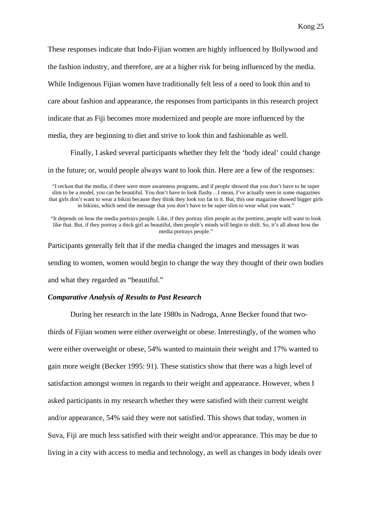These responses indicate that Indo-Fijian women are highly influenced by Bollywood and

the fashion industry, and therefore, are at a higher risk for being influenced by the media.

While Indigenous Fijian women have traditionally felt less of a need to look thin and to

care about fashion and appearance, the responses from participants in this research project

indicate that as Fiji becomes more modernized and people are more influenced by the

media, they are beginning to diet and strive to look thin and fashionable as well.

Finally, I asked several participants whether they felt the 'body ideal' could change

in the future; or, would people always want to look thin. Here are a few of the responses:

"It depends on how the media portrays people. Like, if they portray slim people as the prettiest, people will want to look like that. But, if they portray a thick girl as beautiful, then people's minds will begin to shift. So, it's all about how the media portrays people."

Participants generally felt that if the media changed the images and messages it was sending to women, women would begin to change the way they thought of their own bodies and what they regarded as "beautiful."

#### *Comparative Analysis of Results to Past Research*

 During her research in the late 1980s in Nadroga, Anne Becker found that twothirds of Fijian women were either overweight or obese. Interestingly, of the women who were either overweight or obese, 54% wanted to maintain their weight and 17% wanted to gain more weight (Becker 1995: 91). These statistics show that there was a high level of satisfaction amongst women in regards to their weight and appearance. However, when I asked participants in my research whether they were satisfied with their current weight and/or appearance, 54% said they were not satisfied. This shows that today, women in Suva, Fiji are much less satisfied with their weight and/or appearance. This may be due to living in a city with access to media and technology, as well as changes in body ideals over

<sup>&</sup>quot;I reckon that the media, if there were more awareness programs, and if people showed that you don't have to be super slim to be a model, you can be beautiful. You don't have to look flashy…I mean, I've actually seen in some magazines that girls don't want to wear a bikini because they think they look too fat in it. But, this one magazine showed bigger girls in bikinis, which send the message that you don't have to be super slim to wear what you want."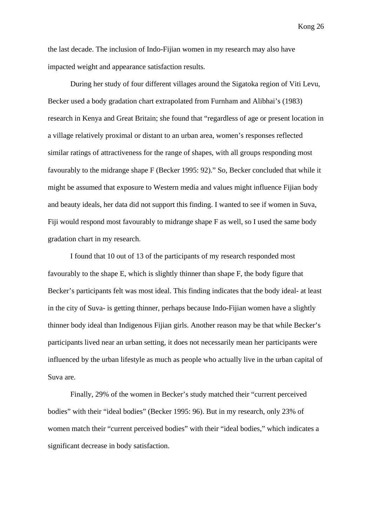the last decade. The inclusion of Indo-Fijian women in my research may also have impacted weight and appearance satisfaction results.

 During her study of four different villages around the Sigatoka region of Viti Levu, Becker used a body gradation chart extrapolated from Furnham and Alibhai's (1983) research in Kenya and Great Britain; she found that "regardless of age or present location in a village relatively proximal or distant to an urban area, women's responses reflected similar ratings of attractiveness for the range of shapes, with all groups responding most favourably to the midrange shape F (Becker 1995: 92)." So, Becker concluded that while it might be assumed that exposure to Western media and values might influence Fijian body and beauty ideals, her data did not support this finding. I wanted to see if women in Suva, Fiji would respond most favourably to midrange shape F as well, so I used the same body gradation chart in my research.

I found that 10 out of 13 of the participants of my research responded most favourably to the shape E, which is slightly thinner than shape F, the body figure that Becker's participants felt was most ideal. This finding indicates that the body ideal- at least in the city of Suva- is getting thinner, perhaps because Indo-Fijian women have a slightly thinner body ideal than Indigenous Fijian girls. Another reason may be that while Becker's participants lived near an urban setting, it does not necessarily mean her participants were influenced by the urban lifestyle as much as people who actually live in the urban capital of Suva are.

Finally, 29% of the women in Becker's study matched their "current perceived bodies" with their "ideal bodies" (Becker 1995: 96). But in my research, only 23% of women match their "current perceived bodies" with their "ideal bodies," which indicates a significant decrease in body satisfaction.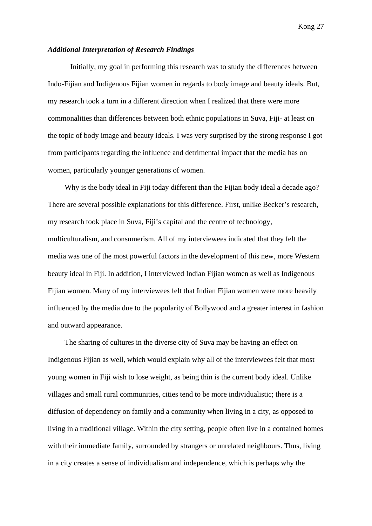#### *Additional Interpretation of Research Findings*

 Initially, my goal in performing this research was to study the differences between Indo-Fijian and Indigenous Fijian women in regards to body image and beauty ideals. But, my research took a turn in a different direction when I realized that there were more commonalities than differences between both ethnic populations in Suva, Fiji- at least on the topic of body image and beauty ideals. I was very surprised by the strong response I got from participants regarding the influence and detrimental impact that the media has on women, particularly younger generations of women.

Why is the body ideal in Fiji today different than the Fijian body ideal a decade ago? There are several possible explanations for this difference. First, unlike Becker's research, my research took place in Suva, Fiji's capital and the centre of technology, multiculturalism, and consumerism. All of my interviewees indicated that they felt the media was one of the most powerful factors in the development of this new, more Western beauty ideal in Fiji. In addition, I interviewed Indian Fijian women as well as Indigenous Fijian women. Many of my interviewees felt that Indian Fijian women were more heavily influenced by the media due to the popularity of Bollywood and a greater interest in fashion and outward appearance.

The sharing of cultures in the diverse city of Suva may be having an effect on Indigenous Fijian as well, which would explain why all of the interviewees felt that most young women in Fiji wish to lose weight, as being thin is the current body ideal. Unlike villages and small rural communities, cities tend to be more individualistic; there is a diffusion of dependency on family and a community when living in a city, as opposed to living in a traditional village. Within the city setting, people often live in a contained homes with their immediate family, surrounded by strangers or unrelated neighbours. Thus, living in a city creates a sense of individualism and independence, which is perhaps why the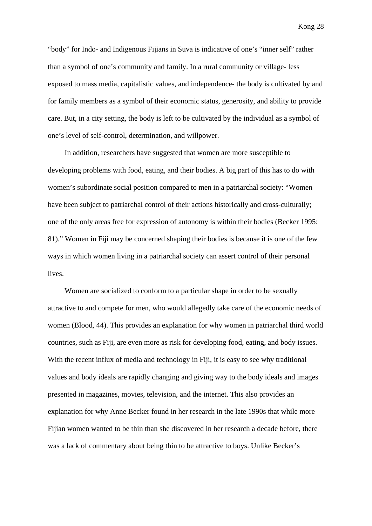"body" for Indo- and Indigenous Fijians in Suva is indicative of one's "inner self" rather than a symbol of one's community and family. In a rural community or village- less exposed to mass media, capitalistic values, and independence- the body is cultivated by and for family members as a symbol of their economic status, generosity, and ability to provide care. But, in a city setting, the body is left to be cultivated by the individual as a symbol of one's level of self-control, determination, and willpower.

In addition, researchers have suggested that women are more susceptible to developing problems with food, eating, and their bodies. A big part of this has to do with women's subordinate social position compared to men in a patriarchal society: "Women have been subject to patriarchal control of their actions historically and cross-culturally; one of the only areas free for expression of autonomy is within their bodies (Becker 1995: 81)." Women in Fiji may be concerned shaping their bodies is because it is one of the few ways in which women living in a patriarchal society can assert control of their personal lives.

Women are socialized to conform to a particular shape in order to be sexually attractive to and compete for men, who would allegedly take care of the economic needs of women (Blood, 44). This provides an explanation for why women in patriarchal third world countries, such as Fiji, are even more as risk for developing food, eating, and body issues. With the recent influx of media and technology in Fiji, it is easy to see why traditional values and body ideals are rapidly changing and giving way to the body ideals and images presented in magazines, movies, television, and the internet. This also provides an explanation for why Anne Becker found in her research in the late 1990s that while more Fijian women wanted to be thin than she discovered in her research a decade before, there was a lack of commentary about being thin to be attractive to boys. Unlike Becker's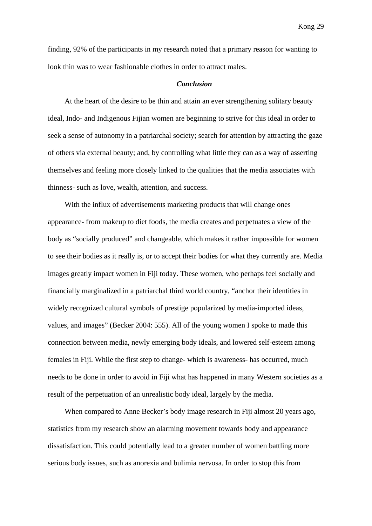finding, 92% of the participants in my research noted that a primary reason for wanting to look thin was to wear fashionable clothes in order to attract males.

#### *Conclusion*

At the heart of the desire to be thin and attain an ever strengthening solitary beauty ideal, Indo- and Indigenous Fijian women are beginning to strive for this ideal in order to seek a sense of autonomy in a patriarchal society; search for attention by attracting the gaze of others via external beauty; and, by controlling what little they can as a way of asserting themselves and feeling more closely linked to the qualities that the media associates with thinness- such as love, wealth, attention, and success.

With the influx of advertisements marketing products that will change ones appearance- from makeup to diet foods, the media creates and perpetuates a view of the body as "socially produced" and changeable, which makes it rather impossible for women to see their bodies as it really is, or to accept their bodies for what they currently are. Media images greatly impact women in Fiji today. These women, who perhaps feel socially and financially marginalized in a patriarchal third world country, "anchor their identities in widely recognized cultural symbols of prestige popularized by media-imported ideas, values, and images" (Becker 2004: 555). All of the young women I spoke to made this connection between media, newly emerging body ideals, and lowered self-esteem among females in Fiji. While the first step to change- which is awareness- has occurred, much needs to be done in order to avoid in Fiji what has happened in many Western societies as a result of the perpetuation of an unrealistic body ideal, largely by the media.

When compared to Anne Becker's body image research in Fiji almost 20 years ago, statistics from my research show an alarming movement towards body and appearance dissatisfaction. This could potentially lead to a greater number of women battling more serious body issues, such as anorexia and bulimia nervosa. In order to stop this from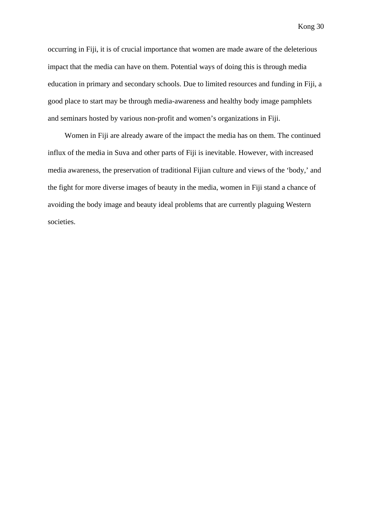occurring in Fiji, it is of crucial importance that women are made aware of the deleterious impact that the media can have on them. Potential ways of doing this is through media education in primary and secondary schools. Due to limited resources and funding in Fiji, a good place to start may be through media-awareness and healthy body image pamphlets and seminars hosted by various non-profit and women's organizations in Fiji.

Women in Fiji are already aware of the impact the media has on them. The continued influx of the media in Suva and other parts of Fiji is inevitable. However, with increased media awareness, the preservation of traditional Fijian culture and views of the 'body,' and the fight for more diverse images of beauty in the media, women in Fiji stand a chance of avoiding the body image and beauty ideal problems that are currently plaguing Western societies.